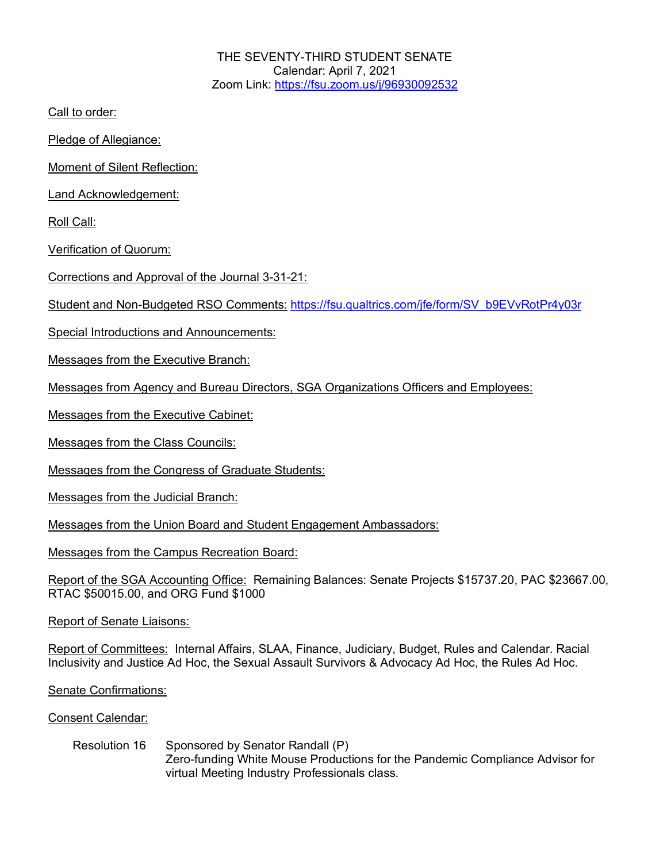THE SEVENTY-THIRD STUDENT SENATE Calendar: April 7, 2021 Zoom Link: https://fsu.zoom.us/j/96930092532

Call to order:

Pledge of Allegiance:

Moment of Silent Reflection:

Land Acknowledgement:

Roll Call:

Verification of Quorum:

Corrections and Approval of the Journal 3-31-21:

Student and Non-Budgeted RSO Comments: https://fsu.qualtrics.com/jfe/form/SV\_b9EVvRotPr4y03r

Special Introductions and Announcements:

Messages from the Executive Branch:

Messages from Agency and Bureau Directors, SGA Organizations Officers and Employees:

Messages from the Executive Cabinet:

Messages from the Class Councils:

Messages from the Congress of Graduate Students:

Messages from the Judicial Branch:

Messages from the Union Board and Student Engagement Ambassadors:

Messages from the Campus Recreation Board:

Report of the SGA Accounting Office: Remaining Balances: Senate Projects \$15737.20, PAC \$23667.00, RTAC \$50015.00, and ORG Fund \$1000

Report of Senate Liaisons:

Report of Committees: Internal Affairs, SLAA, Finance, Judiciary, Budget, Rules and Calendar. Racial Inclusivity and Justice Ad Hoc, the Sexual Assault Survivors & Advocacy Ad Hoc, the Rules Ad Hoc.

Senate Confirmations:

## Consent Calendar:

## Resolution 16 Sponsored by Senator Randall (P) Zero-funding White Mouse Productions for the Pandemic Compliance Advisor for virtual Meeting Industry Professionals class.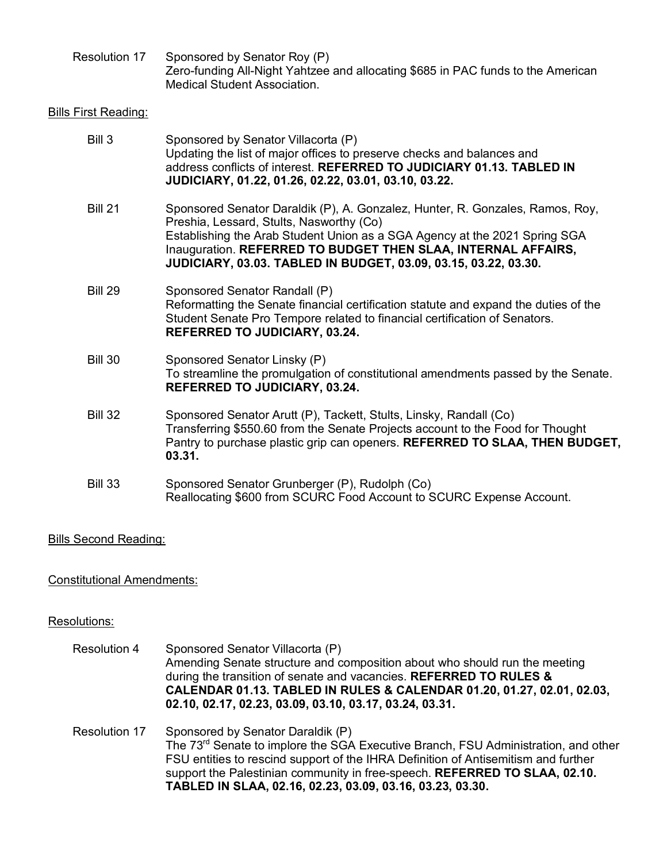| Resolution 17 | Sponsored by Senator Roy (P)                                                     |
|---------------|----------------------------------------------------------------------------------|
|               | Zero-funding All-Night Yahtzee and allocating \$685 in PAC funds to the American |
|               | <b>Medical Student Association.</b>                                              |

## Bills First Reading:

| Bill 3         | Sponsored by Senator Villacorta (P)<br>Updating the list of major offices to preserve checks and balances and<br>address conflicts of interest. REFERRED TO JUDICIARY 01.13. TABLED IN<br>JUDICIARY, 01.22, 01.26, 02.22, 03.01, 03.10, 03.22.                                                                                              |
|----------------|---------------------------------------------------------------------------------------------------------------------------------------------------------------------------------------------------------------------------------------------------------------------------------------------------------------------------------------------|
| <b>Bill 21</b> | Sponsored Senator Daraldik (P), A. Gonzalez, Hunter, R. Gonzales, Ramos, Roy,<br>Preshia, Lessard, Stults, Nasworthy (Co)<br>Establishing the Arab Student Union as a SGA Agency at the 2021 Spring SGA<br>Inauguration. REFERRED TO BUDGET THEN SLAA, INTERNAL AFFAIRS,<br>JUDICIARY, 03.03. TABLED IN BUDGET, 03.09, 03.15, 03.22, 03.30. |
| <b>Bill 29</b> | Sponsored Senator Randall (P)<br>Reformatting the Senate financial certification statute and expand the duties of the<br>Student Senate Pro Tempore related to financial certification of Senators.<br><b>REFERRED TO JUDICIARY, 03.24.</b>                                                                                                 |
| <b>Bill 30</b> | Sponsored Senator Linsky (P)<br>To streamline the promulgation of constitutional amendments passed by the Senate.<br><b>REFERRED TO JUDICIARY, 03.24.</b>                                                                                                                                                                                   |
| <b>Bill 32</b> | Sponsored Senator Arutt (P), Tackett, Stults, Linsky, Randall (Co)<br>Transferring \$550.60 from the Senate Projects account to the Food for Thought<br>Pantry to purchase plastic grip can openers. REFERRED TO SLAA, THEN BUDGET,<br>03.31.                                                                                               |
| <b>Bill 33</b> | Sponsored Senator Grunberger (P), Rudolph (Co)<br>Reallocating \$600 from SCURC Food Account to SCURC Expense Account.                                                                                                                                                                                                                      |

Bills Second Reading:

Constitutional Amendments:

## Resolutions:

| <b>Resolution 4</b>  | Sponsored Senator Villacorta (P)<br>Amending Senate structure and composition about who should run the meeting<br>during the transition of senate and vacancies. REFERRED TO RULES &<br>CALENDAR 01.13. TABLED IN RULES & CALENDAR 01.20, 01.27, 02.01, 02.03,<br>02.10, 02.17, 02.23, 03.09, 03.10, 03.17, 03.24, 03.31.                                            |
|----------------------|----------------------------------------------------------------------------------------------------------------------------------------------------------------------------------------------------------------------------------------------------------------------------------------------------------------------------------------------------------------------|
| <b>Resolution 17</b> | Sponsored by Senator Daraldik (P)<br>The 73 <sup>rd</sup> Senate to implore the SGA Executive Branch, FSU Administration, and other<br>FSU entities to rescind support of the IHRA Definition of Antisemitism and further<br>support the Palestinian community in free-speech. REFERRED TO SLAA, 02.10.<br>TABLED IN SLAA, 02.16, 02.23, 03.09, 03.16, 03.23, 03.30. |